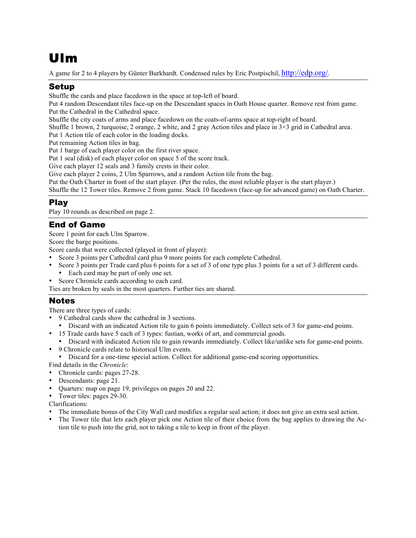# Ulm

A game for 2 to 4 players by Günter Burkhardt. Condensed rules by Eric Postpischil, http://edp.org/.

# Setup

Shuffle the cards and place facedown in the space at top-left of board.

Put 4 random Descendant tiles face-up on the Descendant spaces in Oath House quarter. Remove rest from game. Put the Cathedral in the Cathedral space.

Shuffle the city coats of arms and place facedown on the coats-of-arms space at top-right of board.

Shuffle 1 brown, 2 turquoise, 2 orange, 2 white, and 2 gray Action tiles and place in 3×3 grid in Cathedral area. Put 1 Action tile of each color in the loading docks.

Put remaining Action tiles in bag.

Put 1 barge of each player color on the first river space.

Put 1 seal (disk) of each player color on space 5 of the score track.

Give each player 12 seals and 3 family crests in their color.

Give each player 2 coins, 2 Ulm Sparrows, and a random Action tile from the bag.

Put the Oath Charter in front of the start player. (Per the rules, the most reliable player is the start player.)

Shuffle the 12 Tower tiles. Remove 2 from game. Stack 10 facedown (face-up for advanced game) on Oath Charter.

# Play

Play 10 rounds as described on page 2.

## End of Game

Score 1 point for each Ulm Sparrow.

Score the barge positions.

Score cards that were collected (played in front of player):

- Score 3 points per Cathedral card plus 9 more points for each complete Cathedral.
- Score 3 points per Trade card plus 6 points for a set of 3 of one type plus 3 points for a set of 3 different cards.
	- Each card may be part of only one set.
- Score Chronicle cards according to each card.
- Ties are broken by seals in the most quarters. Further ties are shared.

## Notes

There are three types of cards:

- 9 Cathedral cards show the cathedral in 3 sections.
	- Discard with an indicated Action tile to gain 6 points immediately. Collect sets of 3 for game-end points.
- 15 Trade cards have 5 each of 3 types: fustian, works of art, and commercial goods.
- Discard with indicated Action tile to gain rewards immediately. Collect like/unlike sets for game-end points.
- 9 Chronicle cards relate to historical Ulm events.

• Discard for a one-time special action. Collect for additional game-end scoring opportunities.

Find details in the *Chronicle*:

- Chronicle cards: pages 27-28.
- Descendants: page 21.
- Quarters: map on page 19, privileges on pages 20 and 22.
- Tower tiles: pages 29-30.
- Clarifications:
- The immediate bonus of the City Wall card modifies a regular seal action; it does not give an extra seal action.
- The Tower tile that lets each player pick one Action tile of their choice from the bag applies to drawing the Action tile to push into the grid, not to taking a tile to keep in front of the player.